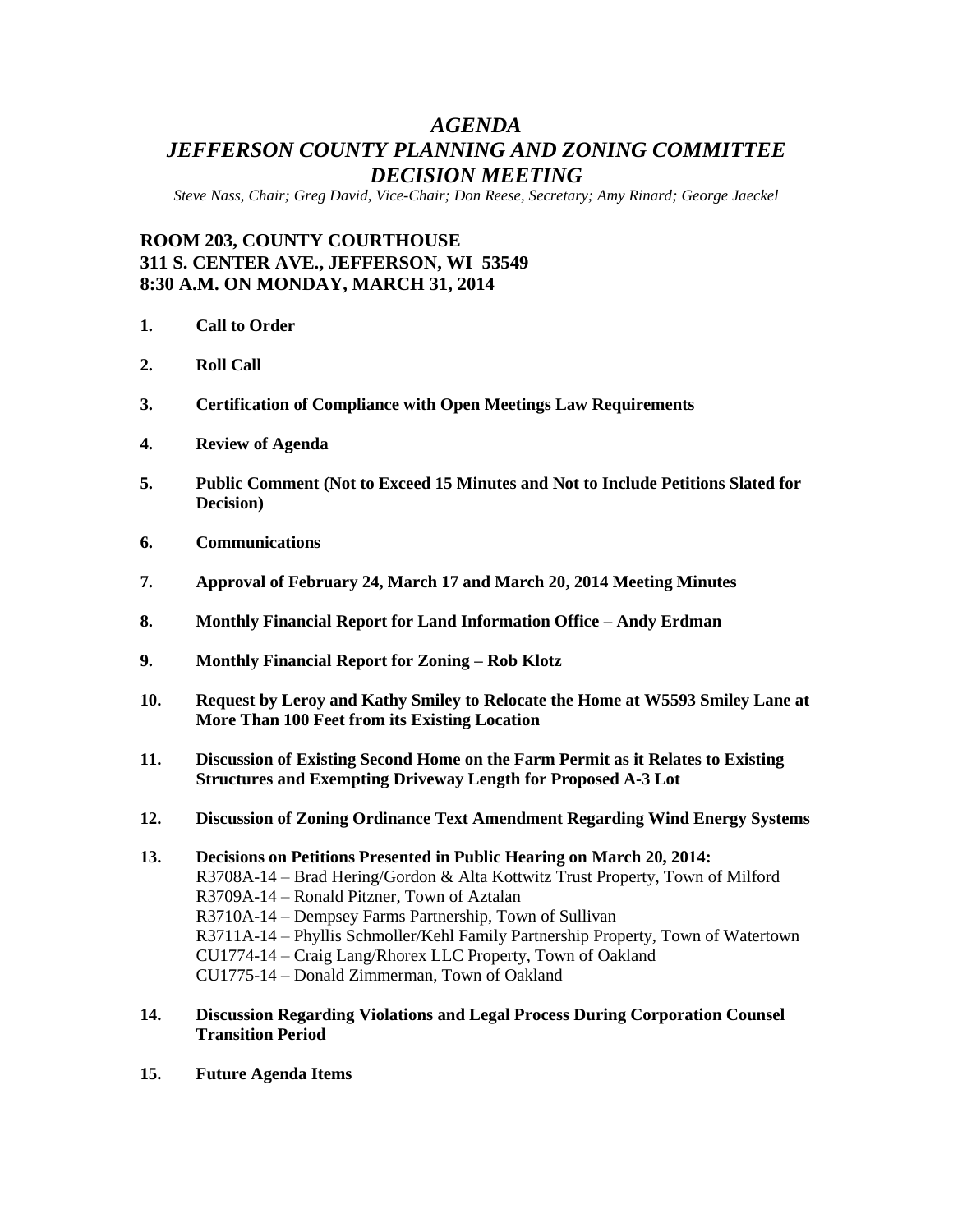## *AGENDA JEFFERSON COUNTY PLANNING AND ZONING COMMITTEE DECISION MEETING*

*Steve Nass, Chair; Greg David, Vice-Chair; Don Reese, Secretary; Amy Rinard; George Jaeckel*

## **ROOM 203, COUNTY COURTHOUSE 311 S. CENTER AVE., JEFFERSON, WI 53549 8:30 A.M. ON MONDAY, MARCH 31, 2014**

- **1. Call to Order**
- **2. Roll Call**
- **3. Certification of Compliance with Open Meetings Law Requirements**
- **4. Review of Agenda**
- **5. Public Comment (Not to Exceed 15 Minutes and Not to Include Petitions Slated for Decision)**
- **6. Communications**
- **7. Approval of February 24, March 17 and March 20, 2014 Meeting Minutes**
- **8. Monthly Financial Report for Land Information Office – Andy Erdman**
- **9. Monthly Financial Report for Zoning – Rob Klotz**
- **10. Request by Leroy and Kathy Smiley to Relocate the Home at W5593 Smiley Lane at More Than 100 Feet from its Existing Location**
- **11. Discussion of Existing Second Home on the Farm Permit as it Relates to Existing Structures and Exempting Driveway Length for Proposed A-3 Lot**
- **12. Discussion of Zoning Ordinance Text Amendment Regarding Wind Energy Systems**
- **13. Decisions on Petitions Presented in Public Hearing on March 20, 2014:** R3708A-14 – Brad Hering/Gordon & Alta Kottwitz Trust Property, Town of Milford R3709A-14 – Ronald Pitzner, Town of Aztalan R3710A-14 – Dempsey Farms Partnership, Town of Sullivan R3711A-14 – Phyllis Schmoller/Kehl Family Partnership Property, Town of Watertown CU1774-14 – Craig Lang/Rhorex LLC Property, Town of Oakland CU1775-14 – Donald Zimmerman, Town of Oakland
- **14. Discussion Regarding Violations and Legal Process During Corporation Counsel Transition Period**
- **15. Future Agenda Items**